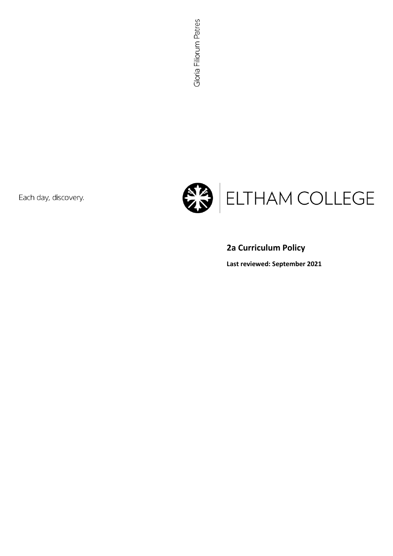Each day, discovery.



# **2a Curriculum Policy**

**Last reviewed: September 2021**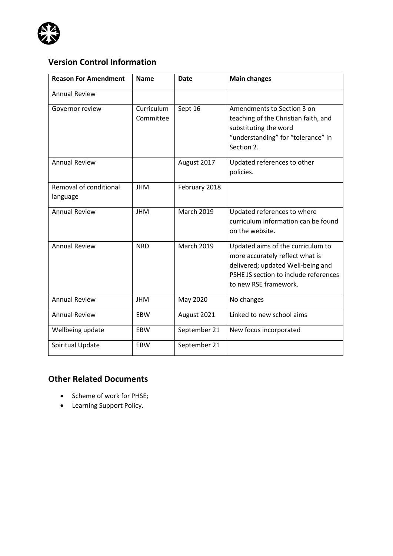

# **Version Control Information**

| <b>Reason For Amendment</b>        | <b>Name</b>             | <b>Date</b>       | <b>Main changes</b>                                                                                                                                                         |
|------------------------------------|-------------------------|-------------------|-----------------------------------------------------------------------------------------------------------------------------------------------------------------------------|
| <b>Annual Review</b>               |                         |                   |                                                                                                                                                                             |
| Governor review                    | Curriculum<br>Committee | Sept 16           | Amendments to Section 3 on<br>teaching of the Christian faith, and<br>substituting the word<br>"understanding" for "tolerance" in<br>Section 2.                             |
| <b>Annual Review</b>               |                         | August 2017       | Updated references to other<br>policies.                                                                                                                                    |
| Removal of conditional<br>language | <b>JHM</b>              | February 2018     |                                                                                                                                                                             |
| <b>Annual Review</b>               | <b>JHM</b>              | March 2019        | Updated references to where<br>curriculum information can be found<br>on the website.                                                                                       |
| <b>Annual Review</b>               | <b>NRD</b>              | <b>March 2019</b> | Updated aims of the curriculum to<br>more accurately reflect what is<br>delivered; updated Well-being and<br>PSHE JS section to include references<br>to new RSE framework. |
| <b>Annual Review</b>               | <b>JHM</b>              | May 2020          | No changes                                                                                                                                                                  |
| <b>Annual Review</b>               | <b>EBW</b>              | August 2021       | Linked to new school aims                                                                                                                                                   |
| Wellbeing update                   | <b>EBW</b>              | September 21      | New focus incorporated                                                                                                                                                      |
| Spiritual Update                   | <b>EBW</b>              | September 21      |                                                                                                                                                                             |

### **Other Related Documents**

- Scheme of work for PHSE;
- Learning Support Policy.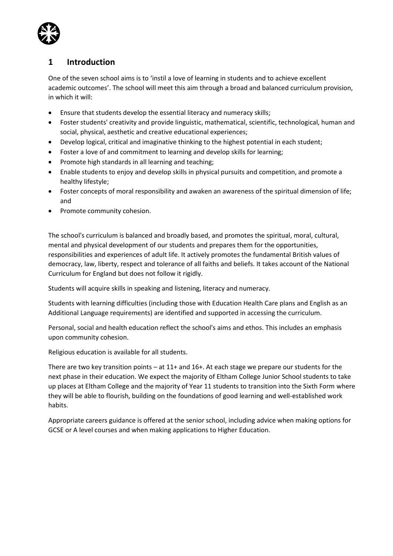

## **1 Introduction**

One of the seven school aims is to 'instil a love of learning in students and to achieve excellent academic outcomes'. The school will meet this aim through a broad and balanced curriculum provision, in which it will:

- Ensure that students develop the essential literacy and numeracy skills;
- Foster students' creativity and provide linguistic, mathematical, scientific, technological, human and social, physical, aesthetic and creative educational experiences;
- Develop logical, critical and imaginative thinking to the highest potential in each student;
- Foster a love of and commitment to learning and develop skills for learning;
- Promote high standards in all learning and teaching;
- Enable students to enjoy and develop skills in physical pursuits and competition, and promote a healthy lifestyle;
- Foster concepts of moral responsibility and awaken an awareness of the spiritual dimension of life; and
- Promote community cohesion.

The school's curriculum is balanced and broadly based, and promotes the spiritual, moral, cultural, mental and physical development of our students and prepares them for the opportunities, responsibilities and experiences of adult life. It actively promotes the fundamental British values of democracy, law, liberty, respect and tolerance of all faiths and beliefs. It takes account of the National Curriculum for England but does not follow it rigidly.

Students will acquire skills in speaking and listening, literacy and numeracy.

Students with learning difficulties (including those with Education Health Care plans and English as an Additional Language requirements) are identified and supported in accessing the curriculum.

Personal, social and health education reflect the school's aims and ethos. This includes an emphasis upon community cohesion.

Religious education is available for all students.

There are two key transition points – at 11+ and 16+. At each stage we prepare our students for the next phase in their education. We expect the majority of Eltham College Junior School students to take up places at Eltham College and the majority of Year 11 students to transition into the Sixth Form where they will be able to flourish, building on the foundations of good learning and well-established work habits.

Appropriate careers guidance is offered at the senior school, including advice when making options for GCSE or A level courses and when making applications to Higher Education.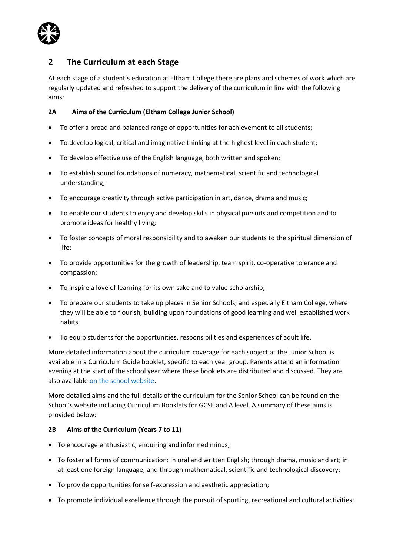

### **2 The Curriculum at each Stage**

At each stage of a student's education at Eltham College there are plans and schemes of work which are regularly updated and refreshed to support the delivery of the curriculum in line with the following aims:

### **2A Aims of the Curriculum (Eltham College Junior School)**

- To offer a broad and balanced range of opportunities for achievement to all students;
- To develop logical, critical and imaginative thinking at the highest level in each student;
- To develop effective use of the English language, both written and spoken;
- To establish sound foundations of numeracy, mathematical, scientific and technological understanding;
- To encourage creativity through active participation in art, dance, drama and music;
- To enable our students to enjoy and develop skills in physical pursuits and competition and to promote ideas for healthy living;
- To foster concepts of moral responsibility and to awaken our students to the spiritual dimension of life;
- To provide opportunities for the growth of leadership, team spirit, co-operative tolerance and compassion;
- To inspire a love of learning for its own sake and to value scholarship;
- To prepare our students to take up places in Senior Schools, and especially Eltham College, where they will be able to flourish, building upon foundations of good learning and well established work habits.
- To equip students for the opportunities, responsibilities and experiences of adult life.

More detailed information about the curriculum coverage for each subject at the Junior School is available in a Curriculum Guide booklet, specific to each year group. Parents attend an information evening at the start of the school year where these booklets are distributed and discussed. They are also availabl[e on the school website.](https://www.elthamcollege.london/junior-school/curriculum/)

More detailed aims and the full details of the curriculum for the Senior School can be found on the School's website including Curriculum Booklets for GCSE and A level. A summary of these aims is provided below:

### **2B Aims of the Curriculum (Years 7 to 11)**

- To encourage enthusiastic, enquiring and informed minds;
- To foster all forms of communication: in oral and written English; through drama, music and art; in at least one foreign language; and through mathematical, scientific and technological discovery;
- To provide opportunities for self-expression and aesthetic appreciation;
- To promote individual excellence through the pursuit of sporting, recreational and cultural activities;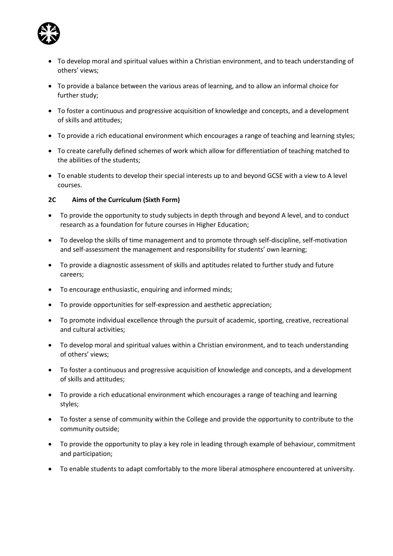

- To develop moral and spiritual values within a Christian environment, and to teach understanding of others' views;
- To provide a balance between the various areas of learning, and to allow an informal choice for further study;
- To foster a continuous and progressive acquisition of knowledge and concepts, and a development of skills and attitudes;
- To provide a rich educational environment which encourages a range of teaching and learning styles;
- To create carefully defined schemes of work which allow for differentiation of teaching matched to the abilities of the students;
- To enable students to develop their special interests up to and beyond GCSE with a view to A level courses.

### **2C Aims of the Curriculum (Sixth Form)**

- To provide the opportunity to study subjects in depth through and beyond A level, and to conduct research as a foundation for future courses in Higher Education;
- To develop the skills of time management and to promote through self-discipline, self-motivation and self-assessment the management and responsibility for students' own learning;
- To provide a diagnostic assessment of skills and aptitudes related to further study and future careers;
- To encourage enthusiastic, enquiring and informed minds;
- To provide opportunities for self-expression and aesthetic appreciation;
- To promote individual excellence through the pursuit of academic, sporting, creative, recreational and cultural activities;
- To develop moral and spiritual values within a Christian environment, and to teach understanding of others' views;
- To foster a continuous and progressive acquisition of knowledge and concepts, and a development of skills and attitudes;
- To provide a rich educational environment which encourages a range of teaching and learning styles;
- To foster a sense of community within the College and provide the opportunity to contribute to the community outside;
- To provide the opportunity to play a key role in leading through example of behaviour, commitment and participation;
- To enable students to adapt comfortably to the more liberal atmosphere encountered at university.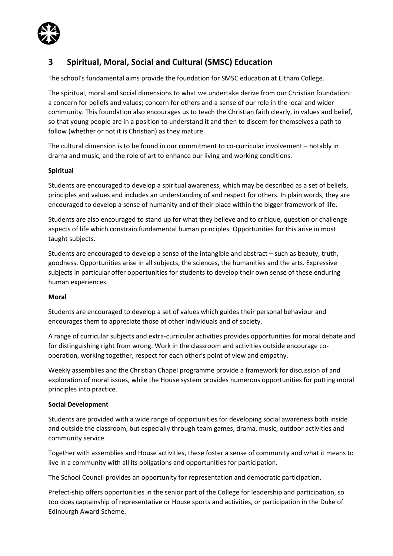

## **3 Spiritual, Moral, Social and Cultural (SMSC) Education**

The school's fundamental aims provide the foundation for SMSC education at Eltham College.

The spiritual, moral and social dimensions to what we undertake derive from our Christian foundation: a concern for beliefs and values; concern for others and a sense of our role in the local and wider community. This foundation also encourages us to teach the Christian faith clearly, in values and belief, so that young people are in a position to understand it and then to discern for themselves a path to follow (whether or not it is Christian) as they mature.

The cultural dimension is to be found in our commitment to co-curricular involvement – notably in drama and music, and the role of art to enhance our living and working conditions.

### **Spiritual**

Students are encouraged to develop a spiritual awareness, which may be described as a set of beliefs, principles and values and includes an understanding of and respect for others. In plain words, they are encouraged to develop a sense of humanity and of their place within the bigger framework of life.

Students are also encouraged to stand up for what they believe and to critique, question or challenge aspects of life which constrain fundamental human principles. Opportunities for this arise in most taught subjects.

Students are encouraged to develop a sense of the intangible and abstract – such as beauty, truth, goodness. Opportunities arise in all subjects; the sciences, the humanities and the arts. Expressive subjects in particular offer opportunities for students to develop their own sense of these enduring human experiences.

### **Moral**

Students are encouraged to develop a set of values which guides their personal behaviour and encourages them to appreciate those of other individuals and of society.

A range of curricular subjects and extra-curricular activities provides opportunities for moral debate and for distinguishing right from wrong. Work in the classroom and activities outside encourage cooperation, working together, respect for each other's point of view and empathy.

Weekly assemblies and the Christian Chapel programme provide a framework for discussion of and exploration of moral issues, while the House system provides numerous opportunities for putting moral principles into practice.

### **Social Development**

Students are provided with a wide range of opportunities for developing social awareness both inside and outside the classroom, but especially through team games, drama, music, outdoor activities and community service.

Together with assemblies and House activities, these foster a sense of community and what it means to live in a community with all its obligations and opportunities for participation.

The School Council provides an opportunity for representation and democratic participation.

Prefect-ship offers opportunities in the senior part of the College for leadership and participation, so too does captainship of representative or House sports and activities, or participation in the Duke of Edinburgh Award Scheme.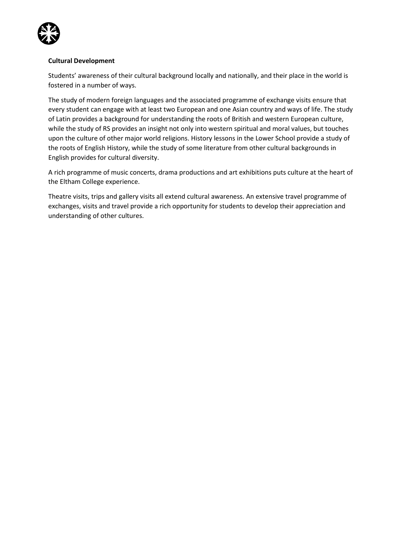

### **Cultural Development**

Students' awareness of their cultural background locally and nationally, and their place in the world is fostered in a number of ways.

The study of modern foreign languages and the associated programme of exchange visits ensure that every student can engage with at least two European and one Asian country and ways of life. The study of Latin provides a background for understanding the roots of British and western European culture, while the study of RS provides an insight not only into western spiritual and moral values, but touches upon the culture of other major world religions. History lessons in the Lower School provide a study of the roots of English History, while the study of some literature from other cultural backgrounds in English provides for cultural diversity.

A rich programme of music concerts, drama productions and art exhibitions puts culture at the heart of the Eltham College experience.

Theatre visits, trips and gallery visits all extend cultural awareness. An extensive travel programme of exchanges, visits and travel provide a rich opportunity for students to develop their appreciation and understanding of other cultures.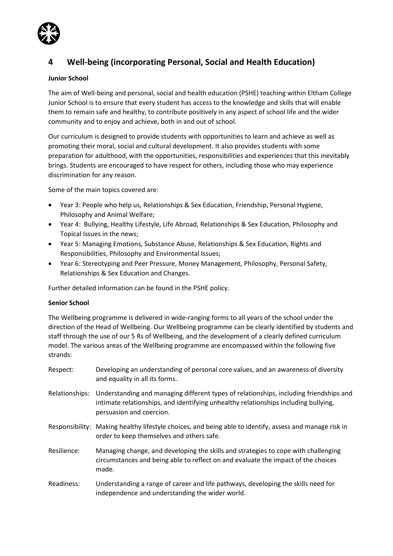

## **4 Well-being (incorporating Personal, Social and Health Education)**

### **Junior School**

The aim of Well-being and personal, social and health education (PSHE) teaching within Eltham College Junior School is to ensure that every student has access to the knowledge and skills that will enable them to remain safe and healthy, to contribute positively in any aspect of school life and the wider community and to enjoy and achieve, both in and out of school.

Our curriculum is designed to provide students with opportunities to learn and achieve as well as promoting their moral, social and cultural development. It also provides students with some preparation for adulthood, with the opportunities, responsibilities and experiences that this inevitably brings. Students are encouraged to have respect for others, including those who may experience discrimination for any reason.

Some of the main topics covered are:

- Year 3: People who help us, Relationships & Sex Education, Friendship, Personal Hygiene, Philosophy and Animal Welfare;
- Year 4: Bullying, Healthy Lifestyle, Life Abroad, Relationships & Sex Education, Philosophy and Topical Issues in the news;
- Year 5: Managing Emotions, Substance Abuse, Relationships & Sex Education, Rights and Responsibilities, Philosophy and Environmental Issues;
- Year 6: Stereotyping and Peer Pressure, Money Management, Philosophy, Personal Safety, Relationships & Sex Education and Changes.

Further detailed information can be found in the PSHE policy.

### **Senior School**

The Wellbeing programme is delivered in wide-ranging forms to all years of the school under the direction of the Head of Wellbeing. Our Wellbeing programme can be clearly identified by students and staff through the use of our 5 Rs of Wellbeing, and the development of a clearly defined curriculum model. The various areas of the Wellbeing programme are encompassed within the following five strands:

- Respect: Developing an understanding of personal core values, and an awareness of diversity and equality in all its forms.
- Relationships: Understanding and managing different types of relationships, including friendships and intimate relationships, and identifying unhealthy relationships including bullying, persuasion and coercion.
- Responsibility: Making healthy lifestyle choices, and being able to identify, assess and manage risk in order to keep themselves and others safe.
- Resilience: Managing change, and developing the skills and strategies to cope with challenging circumstances and being able to reflect on and evaluate the impact of the choices made.
- Readiness: Understanding a range of career and life pathways, developing the skills need for independence and understanding the wider world.